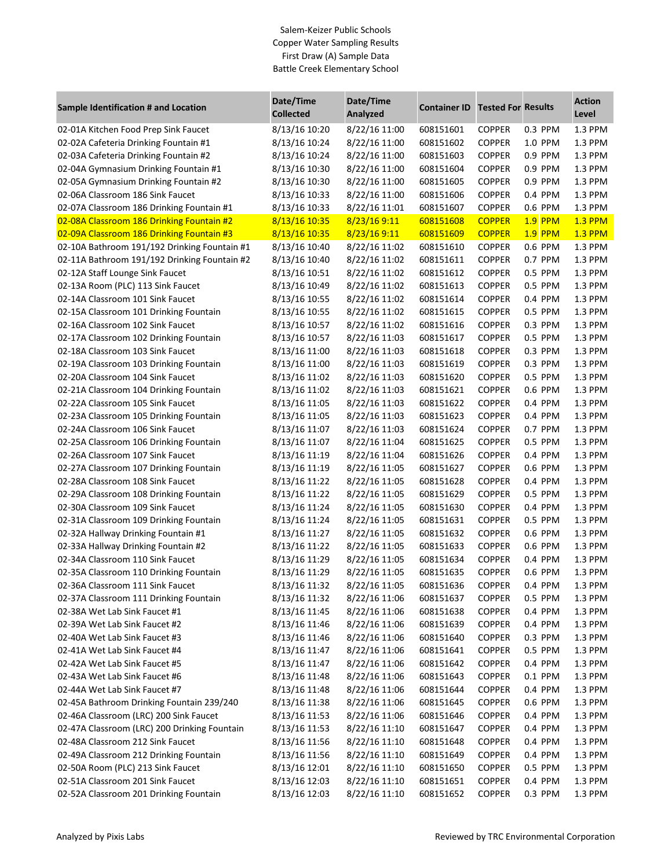## Salem-Keizer Public Schools Copper Water Sampling Results First Draw (A) Sample Data Battle Creek Elementary School

|                                              | Date/Time        | Date/Time     | <b>Container ID Tested For Results</b> |               |                | <b>Action</b>  |
|----------------------------------------------|------------------|---------------|----------------------------------------|---------------|----------------|----------------|
| Sample Identification # and Location         | <b>Collected</b> | Analyzed      |                                        |               |                | Level          |
| 02-01A Kitchen Food Prep Sink Faucet         | 8/13/16 10:20    | 8/22/16 11:00 | 608151601                              | <b>COPPER</b> | 0.3 PPM        | 1.3 PPM        |
| 02-02A Cafeteria Drinking Fountain #1        | 8/13/16 10:24    | 8/22/16 11:00 | 608151602                              | <b>COPPER</b> | 1.0 PPM        | 1.3 PPM        |
| 02-03A Cafeteria Drinking Fountain #2        | 8/13/16 10:24    | 8/22/16 11:00 | 608151603                              | <b>COPPER</b> | 0.9 PPM        | 1.3 PPM        |
| 02-04A Gymnasium Drinking Fountain #1        | 8/13/16 10:30    | 8/22/16 11:00 | 608151604                              | <b>COPPER</b> | 0.9 PPM        | 1.3 PPM        |
| 02-05A Gymnasium Drinking Fountain #2        | 8/13/16 10:30    | 8/22/16 11:00 | 608151605                              | <b>COPPER</b> | 0.9 PPM        | 1.3 PPM        |
| 02-06A Classroom 186 Sink Faucet             | 8/13/16 10:33    | 8/22/16 11:00 | 608151606                              | <b>COPPER</b> | 0.4 PPM        | 1.3 PPM        |
| 02-07A Classroom 186 Drinking Fountain #1    | 8/13/16 10:33    | 8/22/16 11:01 | 608151607                              | <b>COPPER</b> | 0.6 PPM        | 1.3 PPM        |
| 02-08A Classroom 186 Drinking Fountain #2    | 8/13/16 10:35    | 8/23/16 9:11  | 608151608                              | <b>COPPER</b> | <b>1.9 PPM</b> | <b>1.3 PPM</b> |
| 02-09A Classroom 186 Drinking Fountain #3    | 8/13/16 10:35    | 8/23/16 9:11  | 608151609                              | <b>COPPER</b> | <b>1.9 PPM</b> | <b>1.3 PPM</b> |
| 02-10A Bathroom 191/192 Drinking Fountain #1 | 8/13/16 10:40    | 8/22/16 11:02 | 608151610                              | <b>COPPER</b> | 0.6 PPM        | 1.3 PPM        |
| 02-11A Bathroom 191/192 Drinking Fountain #2 | 8/13/16 10:40    | 8/22/16 11:02 | 608151611                              | <b>COPPER</b> | 0.7 PPM        | 1.3 PPM        |
| 02-12A Staff Lounge Sink Faucet              | 8/13/16 10:51    | 8/22/16 11:02 | 608151612                              | <b>COPPER</b> | 0.5 PPM        | 1.3 PPM        |
| 02-13A Room (PLC) 113 Sink Faucet            | 8/13/16 10:49    | 8/22/16 11:02 | 608151613                              | <b>COPPER</b> | 0.5 PPM        | 1.3 PPM        |
| 02-14A Classroom 101 Sink Faucet             | 8/13/16 10:55    | 8/22/16 11:02 | 608151614                              | <b>COPPER</b> | 0.4 PPM        | 1.3 PPM        |
| 02-15A Classroom 101 Drinking Fountain       | 8/13/16 10:55    | 8/22/16 11:02 | 608151615                              | <b>COPPER</b> | 0.5 PPM        | 1.3 PPM        |
| 02-16A Classroom 102 Sink Faucet             | 8/13/16 10:57    | 8/22/16 11:02 | 608151616                              | <b>COPPER</b> | 0.3 PPM        | 1.3 PPM        |
| 02-17A Classroom 102 Drinking Fountain       | 8/13/16 10:57    | 8/22/16 11:03 | 608151617                              | <b>COPPER</b> | 0.5 PPM        | 1.3 PPM        |
| 02-18A Classroom 103 Sink Faucet             | 8/13/16 11:00    | 8/22/16 11:03 | 608151618                              | <b>COPPER</b> | 0.3 PPM        | 1.3 PPM        |
| 02-19A Classroom 103 Drinking Fountain       | 8/13/16 11:00    | 8/22/16 11:03 | 608151619                              | <b>COPPER</b> | 0.3 PPM        | 1.3 PPM        |
| 02-20A Classroom 104 Sink Faucet             | 8/13/16 11:02    | 8/22/16 11:03 | 608151620                              | <b>COPPER</b> | 0.5 PPM        | 1.3 PPM        |
| 02-21A Classroom 104 Drinking Fountain       | 8/13/16 11:02    | 8/22/16 11:03 | 608151621                              | <b>COPPER</b> | 0.6 PPM        | 1.3 PPM        |
| 02-22A Classroom 105 Sink Faucet             | 8/13/16 11:05    | 8/22/16 11:03 | 608151622                              | <b>COPPER</b> | 0.4 PPM        | 1.3 PPM        |
| 02-23A Classroom 105 Drinking Fountain       | 8/13/16 11:05    | 8/22/16 11:03 | 608151623                              | <b>COPPER</b> | 0.4 PPM        | 1.3 PPM        |
| 02-24A Classroom 106 Sink Faucet             | 8/13/16 11:07    | 8/22/16 11:03 | 608151624                              | <b>COPPER</b> | 0.7 PPM        | 1.3 PPM        |
| 02-25A Classroom 106 Drinking Fountain       | 8/13/16 11:07    | 8/22/16 11:04 | 608151625                              | <b>COPPER</b> | 0.5 PPM        | 1.3 PPM        |
| 02-26A Classroom 107 Sink Faucet             | 8/13/16 11:19    | 8/22/16 11:04 | 608151626                              | <b>COPPER</b> | 0.4 PPM        | 1.3 PPM        |
| 02-27A Classroom 107 Drinking Fountain       | 8/13/16 11:19    | 8/22/16 11:05 | 608151627                              | <b>COPPER</b> | 0.6 PPM        | 1.3 PPM        |
| 02-28A Classroom 108 Sink Faucet             | 8/13/16 11:22    | 8/22/16 11:05 | 608151628                              | <b>COPPER</b> | 0.4 PPM        | 1.3 PPM        |
| 02-29A Classroom 108 Drinking Fountain       | 8/13/16 11:22    | 8/22/16 11:05 | 608151629                              | <b>COPPER</b> | 0.5 PPM        | 1.3 PPM        |
| 02-30A Classroom 109 Sink Faucet             | 8/13/16 11:24    | 8/22/16 11:05 | 608151630                              | <b>COPPER</b> | 0.4 PPM        | 1.3 PPM        |
| 02-31A Classroom 109 Drinking Fountain       | 8/13/16 11:24    | 8/22/16 11:05 | 608151631                              | <b>COPPER</b> | 0.5 PPM        | 1.3 PPM        |
| 02-32A Hallway Drinking Fountain #1          | 8/13/16 11:27    | 8/22/16 11:05 | 608151632                              | <b>COPPER</b> | 0.6 PPM        | 1.3 PPM        |
| 02-33A Hallway Drinking Fountain #2          | 8/13/16 11:22    | 8/22/16 11:05 | 608151633                              | <b>COPPER</b> | 0.6 PPM        | 1.3 PPM        |
| 02-34A Classroom 110 Sink Faucet             | 8/13/16 11:29    | 8/22/16 11:05 | 608151634                              | <b>COPPER</b> | 0.4 PPM        | 1.3 PPM        |
| 02-35A Classroom 110 Drinking Fountain       | 8/13/16 11:29    | 8/22/16 11:05 | 608151635                              | <b>COPPER</b> | 0.6 PPM        | 1.3 PPM        |
| 02-36A Classroom 111 Sink Faucet             | 8/13/16 11:32    | 8/22/16 11:05 | 608151636                              | COPPER        | 0.4 PPM        | $1.3$ PPM      |
| 02-37A Classroom 111 Drinking Fountain       | 8/13/16 11:32    | 8/22/16 11:06 | 608151637                              | <b>COPPER</b> | 0.5 PPM        | 1.3 PPM        |
| 02-38A Wet Lab Sink Faucet #1                | 8/13/16 11:45    | 8/22/16 11:06 | 608151638                              | <b>COPPER</b> | 0.4 PPM        | 1.3 PPM        |
| 02-39A Wet Lab Sink Faucet #2                | 8/13/16 11:46    | 8/22/16 11:06 | 608151639                              | <b>COPPER</b> | 0.4 PPM        | 1.3 PPM        |
| 02-40A Wet Lab Sink Faucet #3                | 8/13/16 11:46    | 8/22/16 11:06 | 608151640                              | <b>COPPER</b> | 0.3 PPM        | 1.3 PPM        |
| 02-41A Wet Lab Sink Faucet #4                | 8/13/16 11:47    | 8/22/16 11:06 | 608151641                              | <b>COPPER</b> | 0.5 PPM        | 1.3 PPM        |
| 02-42A Wet Lab Sink Faucet #5                | 8/13/16 11:47    | 8/22/16 11:06 | 608151642                              | <b>COPPER</b> | 0.4 PPM        | 1.3 PPM        |
| 02-43A Wet Lab Sink Faucet #6                | 8/13/16 11:48    | 8/22/16 11:06 | 608151643                              | <b>COPPER</b> | 0.1 PPM        | 1.3 PPM        |
| 02-44A Wet Lab Sink Faucet #7                | 8/13/16 11:48    | 8/22/16 11:06 | 608151644                              | <b>COPPER</b> | 0.4 PPM        | 1.3 PPM        |
| 02-45A Bathroom Drinking Fountain 239/240    | 8/13/16 11:38    | 8/22/16 11:06 | 608151645                              | <b>COPPER</b> | 0.6 PPM        | 1.3 PPM        |
| 02-46A Classroom (LRC) 200 Sink Faucet       | 8/13/16 11:53    | 8/22/16 11:06 | 608151646                              | <b>COPPER</b> | 0.4 PPM        | 1.3 PPM        |
| 02-47A Classroom (LRC) 200 Drinking Fountain | 8/13/16 11:53    | 8/22/16 11:10 | 608151647                              | <b>COPPER</b> | 0.4 PPM        | 1.3 PPM        |
| 02-48A Classroom 212 Sink Faucet             | 8/13/16 11:56    | 8/22/16 11:10 | 608151648                              | <b>COPPER</b> | 0.4 PPM        | 1.3 PPM        |
| 02-49A Classroom 212 Drinking Fountain       | 8/13/16 11:56    | 8/22/16 11:10 | 608151649                              | <b>COPPER</b> | 0.4 PPM        | 1.3 PPM        |
| 02-50A Room (PLC) 213 Sink Faucet            | 8/13/16 12:01    | 8/22/16 11:10 | 608151650                              | <b>COPPER</b> | 0.5 PPM        | 1.3 PPM        |
| 02-51A Classroom 201 Sink Faucet             | 8/13/16 12:03    | 8/22/16 11:10 | 608151651                              | <b>COPPER</b> | 0.4 PPM        | 1.3 PPM        |
| 02-52A Classroom 201 Drinking Fountain       | 8/13/16 12:03    | 8/22/16 11:10 | 608151652                              | <b>COPPER</b> | 0.3 PPM        | 1.3 PPM        |
|                                              |                  |               |                                        |               |                |                |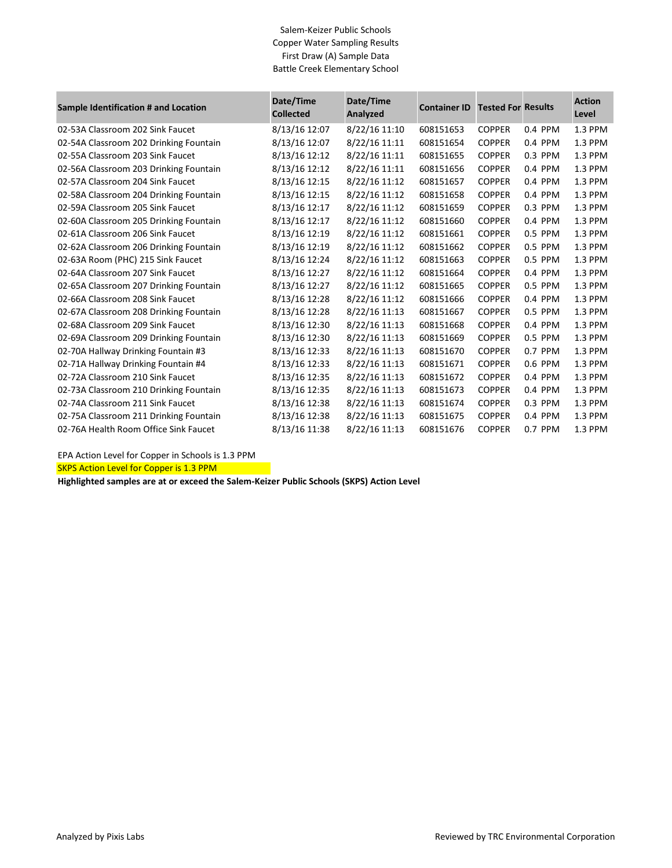## Salem-Keizer Public Schools Copper Water Sampling Results First Draw (A) Sample Data Battle Creek Elementary School

| Sample Identification # and Location   | Date/Time<br><b>Collected</b> | Date/Time<br>Analyzed | <b>Container ID</b> | <b>Tested For Results</b> |         | <b>Action</b><br>Level |
|----------------------------------------|-------------------------------|-----------------------|---------------------|---------------------------|---------|------------------------|
| 02-53A Classroom 202 Sink Faucet       | 8/13/16 12:07                 | 8/22/16 11:10         | 608151653           | <b>COPPER</b>             | 0.4 PPM | 1.3 PPM                |
| 02-54A Classroom 202 Drinking Fountain | 8/13/16 12:07                 | 8/22/16 11:11         | 608151654           | <b>COPPER</b>             | 0.4 PPM | 1.3 PPM                |
| 02-55A Classroom 203 Sink Faucet       | 8/13/16 12:12                 | 8/22/16 11:11         | 608151655           | <b>COPPER</b>             | 0.3 PPM | 1.3 PPM                |
| 02-56A Classroom 203 Drinking Fountain | 8/13/16 12:12                 | 8/22/16 11:11         | 608151656           | <b>COPPER</b>             | 0.4 PPM | 1.3 PPM                |
| 02-57A Classroom 204 Sink Faucet       | 8/13/16 12:15                 | 8/22/16 11:12         | 608151657           | <b>COPPER</b>             | 0.4 PPM | 1.3 PPM                |
| 02-58A Classroom 204 Drinking Fountain | 8/13/16 12:15                 | 8/22/16 11:12         | 608151658           | <b>COPPER</b>             | 0.4 PPM | 1.3 PPM                |
| 02-59A Classroom 205 Sink Faucet       | 8/13/16 12:17                 | 8/22/16 11:12         | 608151659           | <b>COPPER</b>             | 0.3 PPM | 1.3 PPM                |
| 02-60A Classroom 205 Drinking Fountain | 8/13/16 12:17                 | 8/22/16 11:12         | 608151660           | <b>COPPER</b>             | 0.4 PPM | 1.3 PPM                |
| 02-61A Classroom 206 Sink Faucet       | 8/13/16 12:19                 | 8/22/16 11:12         | 608151661           | <b>COPPER</b>             | 0.5 PPM | 1.3 PPM                |
| 02-62A Classroom 206 Drinking Fountain | 8/13/16 12:19                 | 8/22/16 11:12         | 608151662           | <b>COPPER</b>             | 0.5 PPM | 1.3 PPM                |
| 02-63A Room (PHC) 215 Sink Faucet      | 8/13/16 12:24                 | 8/22/16 11:12         | 608151663           | <b>COPPER</b>             | 0.5 PPM | 1.3 PPM                |
| 02-64A Classroom 207 Sink Faucet       | 8/13/16 12:27                 | 8/22/16 11:12         | 608151664           | <b>COPPER</b>             | 0.4 PPM | 1.3 PPM                |
| 02-65A Classroom 207 Drinking Fountain | 8/13/16 12:27                 | 8/22/16 11:12         | 608151665           | <b>COPPER</b>             | 0.5 PPM | 1.3 PPM                |
| 02-66A Classroom 208 Sink Faucet       | 8/13/16 12:28                 | 8/22/16 11:12         | 608151666           | <b>COPPER</b>             | 0.4 PPM | 1.3 PPM                |
| 02-67A Classroom 208 Drinking Fountain | 8/13/16 12:28                 | 8/22/16 11:13         | 608151667           | <b>COPPER</b>             | 0.5 PPM | 1.3 PPM                |
| 02-68A Classroom 209 Sink Faucet       | 8/13/16 12:30                 | 8/22/16 11:13         | 608151668           | <b>COPPER</b>             | 0.4 PPM | 1.3 PPM                |
| 02-69A Classroom 209 Drinking Fountain | 8/13/16 12:30                 | 8/22/16 11:13         | 608151669           | <b>COPPER</b>             | 0.5 PPM | 1.3 PPM                |
| 02-70A Hallway Drinking Fountain #3    | 8/13/16 12:33                 | 8/22/16 11:13         | 608151670           | <b>COPPER</b>             | 0.7 PPM | 1.3 PPM                |
| 02-71A Hallway Drinking Fountain #4    | 8/13/16 12:33                 | 8/22/16 11:13         | 608151671           | <b>COPPER</b>             | 0.6 PPM | 1.3 PPM                |
| 02-72A Classroom 210 Sink Faucet       | 8/13/16 12:35                 | 8/22/16 11:13         | 608151672           | <b>COPPER</b>             | 0.4 PPM | 1.3 PPM                |
| 02-73A Classroom 210 Drinking Fountain | 8/13/16 12:35                 | 8/22/16 11:13         | 608151673           | <b>COPPER</b>             | 0.4 PPM | 1.3 PPM                |
| 02-74A Classroom 211 Sink Faucet       | 8/13/16 12:38                 | 8/22/16 11:13         | 608151674           | <b>COPPER</b>             | 0.3 PPM | 1.3 PPM                |
| 02-75A Classroom 211 Drinking Fountain | 8/13/16 12:38                 | 8/22/16 11:13         | 608151675           | <b>COPPER</b>             | 0.4 PPM | 1.3 PPM                |
| 02-76A Health Room Office Sink Faucet  | 8/13/16 11:38                 | 8/22/16 11:13         | 608151676           | <b>COPPER</b>             | 0.7 PPM | 1.3 PPM                |

EPA Action Level for Copper in Schools is 1.3 PPM

SKPS Action Level for Copper is 1.3 PPM

**Highlighted samples are at or exceed the Salem-Keizer Public Schools (SKPS) Action Level**